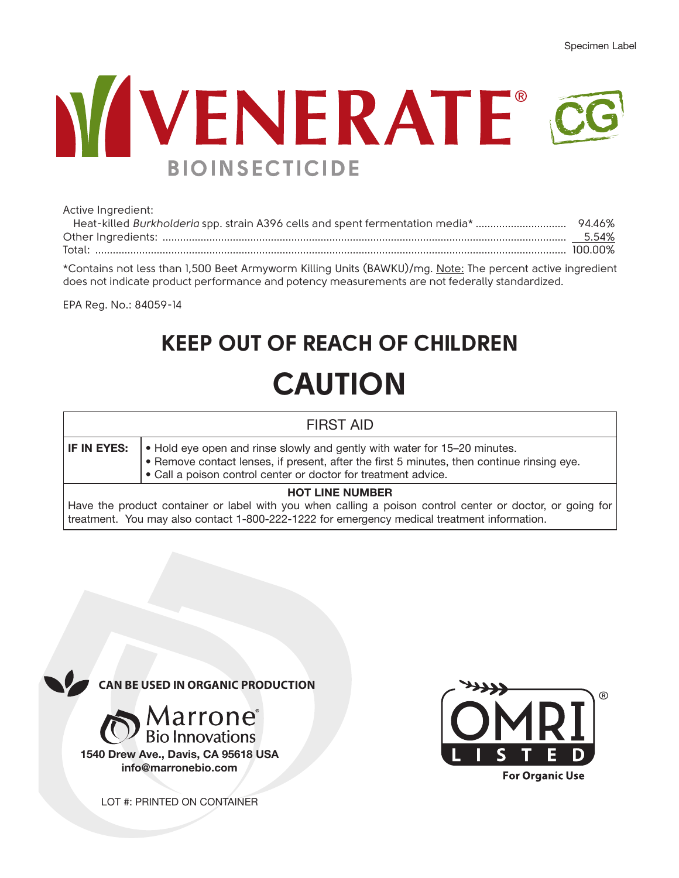# **NUVENERATE® BIOINSECTICIDE**

| Active Ingredient:                                                                                        |  |  |
|-----------------------------------------------------------------------------------------------------------|--|--|
|                                                                                                           |  |  |
|                                                                                                           |  |  |
|                                                                                                           |  |  |
| *Contains not less than 1,500 Beet Armyworm Killing Units (BAWKU)/mg. Note: The percent active ingredient |  |  |
| does not indicate product performance and potency measurements are not federally standardized.            |  |  |

EPA Reg. No.: 84059-14

# **KEEP OUT OF REACH OF CHILDREN CAUTION**

|                        | <b>FIRST AID</b>                                                                                                                                                                                                                          |  |
|------------------------|-------------------------------------------------------------------------------------------------------------------------------------------------------------------------------------------------------------------------------------------|--|
| IF IN EYES:            | • Hold eye open and rinse slowly and gently with water for 15–20 minutes.<br>. Remove contact lenses, if present, after the first 5 minutes, then continue rinsing eye.<br>• Call a poison control center or doctor for treatment advice. |  |
| <b>HOT LINE NUMBER</b> |                                                                                                                                                                                                                                           |  |
|                        | Have the product container or label with you when calling a poison control center or doctor, or going for                                                                                                                                 |  |
|                        | treatment. You may also contact 1-800-222-1222 for emergency medical treatment information.                                                                                                                                               |  |



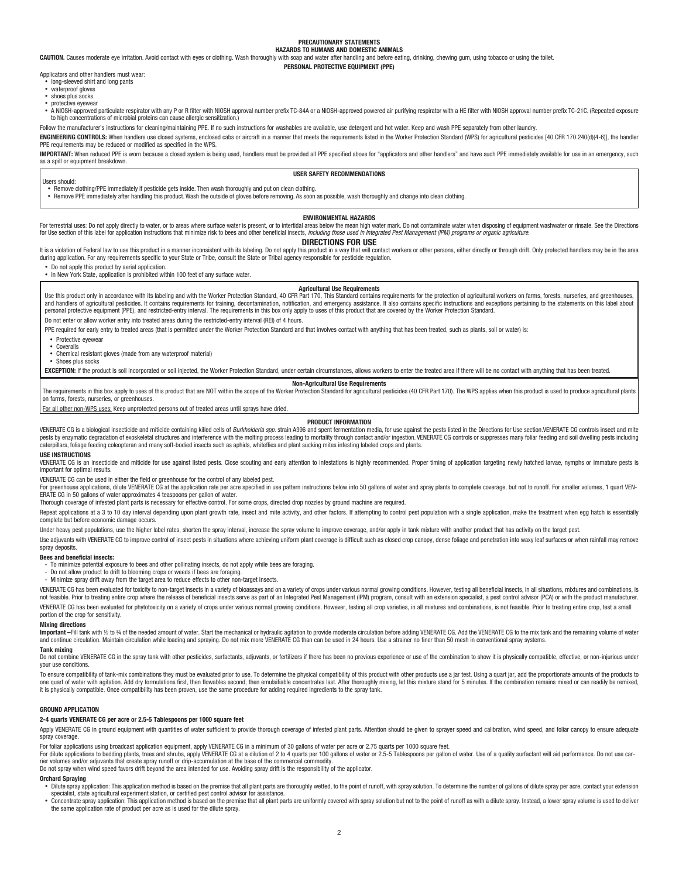#### **PRECAUTIONARY STATEMENTS HAZARDS TO HUMANS AND DOMESTIC ANIMALS**

**CAUTION.** Causes moderate eye irritation. Avoid contact with eyes or clothing. Wash thoroughly with soap and water after handling and before eating, drinking, chewing gum, using tobacco or using the toilet.

#### **PERSONAL PROTECTIVE EQUIPMENT (PPE)**

Applicators and other handlers must wear: • long-sleeved shirt and long pants

- waterproof gloves
- shoes plus socks
- protective eyewear

. A NIOSH-approved particulate respirator with any P or R filter with NIOSH approval number prefix TC-84A or a NIOSH-approved powered air purifying respirator with a HE filter with NIOSH approval number prefix TC-21C. (Rep to high concentrations of microbial proteins can cause allergic sensitization.)

Follow the manufacturer's instructions for cleaning/maintaining PPE. If no such instructions for washables are available, use detergent and hot water. Keep and wash PPE separately from other laundry.

ENGINEERING CONTROLS: When handlers use closed systems, enclosed cabs or aircraft in a manner that meets the requirements listed in the Worker Protection Standard (WPS) for agricultural pesticides [40 CFR 170.240(d)(4-6)], PPE requirements may be reduced or modified as specified in the WPS.

IMPORTANT: When reduced PPE is worn because a closed system is being used, handlers must be provided all PPE specified above for "applicators and other handlers" and have such PPE immediately available for use in an emerge as a spill or equipment breakdown.

#### **USER SAFETY RECOMMENDATIONS**

Users should:

• Remove clothing/PPE immediately if pesticide gets inside. Then wash thoroughly and put on clean clothing.

• Remove PPE immediately after handling this product. Wash the outside of gloves before removing. As soon as possible, wash thoroughly and change into clean clothing.

#### **ENVIRONMENTAL HAZARDS**

For terrestrial uses: Do not apply directly to water, or to areas where surface water is present, or to intertidal areas below the mean high water mark. Do not contaminate water when disposing of equipment washwater or rin for Use section of this label for application instructions that minimize risk to bees and other beneficial insects, *including those used in Integrated Pest Management (IPM) programs or organic agriculture.*

#### **DIRECTIONS FOR USE**

It is a violation of Federal law to use this product in a manner inconsistent with its labeling. Do not apply this product in a way that will contact workers or other persons, either directly or through drift. Only protect

• Do not apply this product by aerial application.

• In New York State, application is prohibited within 100 feet of any surface water.

#### **Agricultural Use Requirements**

Use this product only in accordance with its labeling and with the Worker Protection Standard, 40 CFR Part 170. This Standard contains requirements for the protection of agricultural workers on farms, forests, nurseries, a and handlers of agricultural pesticides. It contains requirements for training, decontamination, notification, and emergency assistance. It also contains specific instructions and exceptions pertaining to the statements on

Do not enter or allow worker entry into treated areas during the restricted-entry interval (REI) of 4 hours.

PPE required for early entry to treated areas (that is permitted under the Worker Protection Standard and that involves contact with anything that has been treated, such as plants, soil or water) is:

• Protective eyewear • Coveralls

• Chemical resistant gloves (made from any waterproof material)

• Shoes plus socks

EXCEPTION: If the product is soil incorporated or soil injected. the Worker Protection Standard, under certain circumstances, allows workers to enter the treated area if there will be no contact with anything that has been

#### **Non-Agricultural Use Requirements**

The requirements in this box apply to uses of this product that are NOT within the scope of the Worker Protection Standard for agricultural pesticides (40 CFR Part 170). The WPS applies when this product is used to produce on farms, forests, nurseries, or greenhouses.

For all other non-WPS uses: Keep unprotected persons out of treated areas until sprays have dried.

#### **PRODUCT INFORMATION**

VENERATE CG is a biological insecticide and miticide containing killed cells of Burkholderia spp. strain A396 and spent fermentation media, for use against the pests listed in the Directions for Use section.VENERATE CG con pests by enzymatic degradation of exoskeletal structures and interference with the molting process leading to mortality through contact and/or ingestion. VENERATE CG controls or suppresses many foliar feeding and soil dwel caterpillars, foliage feeding coleopteran and many soft-bodied insects such as aphids, whiteflies and plant sucking mites infesting labeled crops and plants.

#### **USE INSTRUCTIONS**

VENERATE CG is an insecticide and miticide for use against listed pests. Close scouting and early attention to infestations is highly recommended. Proper timing of application targeting newly hatched laryae, nymphs or imma important for optimal results.

VENERATE CG can be used in either the field or greenhouse for the control of any labeled pest.

For greenhouse applications, dilute VENERATE CG at the application rate per acre specified in use pattern instructions below into 50 gallons of water and spray plants to complete coverage, but not to runoff. For smaller vo ERATE CG in 50 gallons of water approximates 4 teaspoons per gallon of water.

Thorough coverage of infested plant parts is necessary for effective control. For some crops, directed drop nozzles by ground machine are required.

Repeat applications at a 3 to 10 day interval depending upon plant growth rate, insect and mite activity, and other factors. If attempting to control pest population with a single application, make the treatment when egg h complete but before economic damage occurs.

Under heavy pest populations, use the higher label rates, shorten the spray interval, increase the spray volume to improve coverage, and/or apply in tank mixture with another product that has activity on the target pest.

Use adjuvants with VENERATE CG to improve control of insect pests in situations where achieving uniform plant coverage is difficult such as closed crop canopy, dense foliage and penetration into waxy leaf surfaces or when spray deposits.

#### **Bees and beneficial insects:**

- To minimize potential exposure to bees and other pollinating insects, do not apply while bees are foraging.

- Do not allow product to drift to blooming crops or weeds if bees are foraging.
- Minimize spray drift away from the target area to reduce effects to other non-target insects.

VENERATE CG has been evaluated for toxicity to non-target insects in a variety of bioassays and on a variety of crops under various normal growing conditions. However, testing all beneficial insects, in all situations, mix not easible. Prior to trading entire torp where the release of beneficial insects serve as part of an integrated Pest Management (IPM) program, consult with an extension specialist, a pest control advisor (PCA) or with the VENERATE CG has been evaluated for phytotoxicity on a variety of crops under various normal growing conditions. However, testing all crop varieties, in all mixtures and combinations, is not feasible. Prior to treating enti portion of the crop for sensitivity.

#### **Mixing directions**

Important -Fill tank with 1/2 to 3/4 of the needed amount of water. Start the mechanical or hydraulic agitation to provide moderate circulation before adding VENERATE CG. Add the VENERATE CG to the mix tank and the remaini and continue circulation. Maintain circulation while loading and spraying. Do not mix more VENERATE CG than can be used in 24 hours. Use a strainer no finer than 50 mesh in conventional spray systems.

#### **Tank mixing**

Do not combine VENERATE CG in the spray tank with other pesticides, surfactants, adjuvants, or fertilizers if there has been no previous experience or use of the combination to show it is physically compatible, effective, or non-injurious under your use conditions.

To ensure compatibility of tank-mix combinations they must be evaluated prior to use. To determine the physical compatibility of this product with other products use a jar test. Using a quart jar, add the proportionate amo one quart of water with agitation. Add dry formulations first, then flowables second, then emulsifiable concentrates last. After thoroughly mixing, let this mixture stand for 5 minutes. If the combination remains mixed or it is physically compatible. Once compatibility has been proven, use the same procedure for adding required ingredients to the spray tank.

#### **GROUND APPLICATION**

#### **2-4 quarts VENERATE CG per acre or 2.5-5 Tablespoons per 1000 square feet**

Apply VENERATE CG in ground equipment with quantities of water sufficient to provide thorough coverage of infested plant parts. Attention should be given to sprayer speed and calibration, wind speed, and foliar canopy to e spray coverage.

For foliar applications using broadcast application equipment, apply VENERATE CG in a minimum of 30 gallons of water per acre or 2.75 quarts per 1000 square feet.

For dilute applications to bedding plants, trees and shrubs, apply VENERATE CG at a dilution of 2 to 4 quarts per 100 gallons of water or 2.5-5 Tablespoons per gallon of water. Use of a quality surfactant will aid performa rier volumes and/or adjuvants that create spray runoff or drip-accumulation at the base of the commercial commodity.

Do not spray when wind speed favors drift beyond the area intended for use. Avoiding spray drift is the responsibility of the applicator.

#### **Orchard Spraying**

- $\bullet$  Dilute spray application: This application method is based on the premise that all plant parts are thoroughly wetted, to the point of runoff, with spray solution. To determine the number of gallons of dilute spray pe specialist, state agricultural experiment station, or certified pest control advisor for assistance.
- . Concentrate spray application: This application method is based on the premise that all plant parts are uniformly covered with spray solution but not to the point of runoff as with a dilute spray. Instead, a lower spray the same application rate of product per acre as is used for the dilute spray.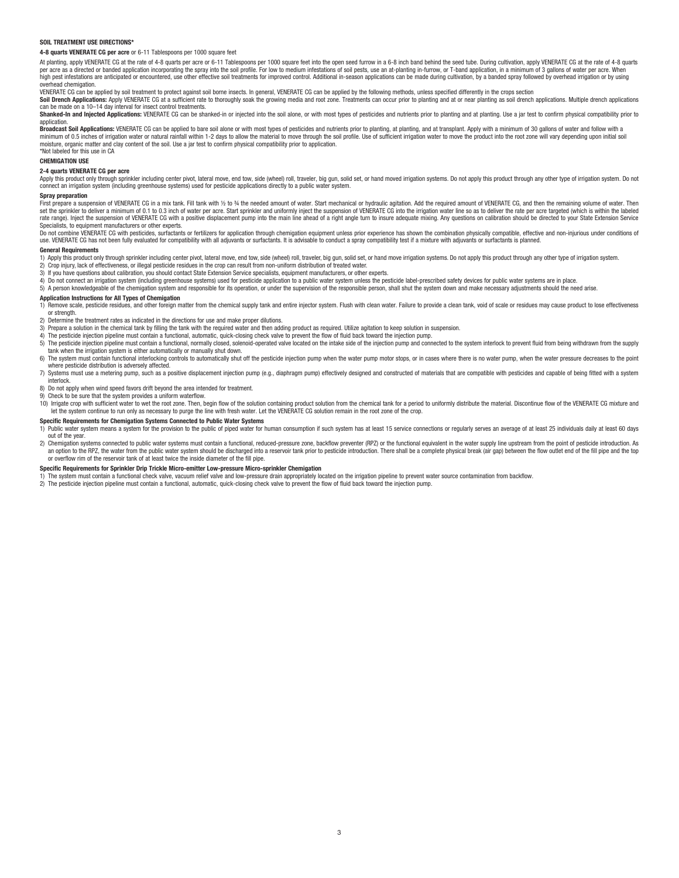#### **SOIL TREATMENT LISE DIRECTIONS**

**4-8 quarts VENERATE CG per acre** or 6-11 Tablespoons per 1000 square feet

At planting, apply VENERATE CG at the rate of 4-8 quarts per acre or 6-11 Tablespoons per 1000 square feet into the open seed furrow in a 6-8 inch band behind the seed tube. During cultivation, apply VENERATE CG at the rat per acre as a directed or banded application incorporating the spray into the soil profile. For low to medium infestations of soil pests, use an at-planting in-furrow, or T-band application, in a minimum of 3 gallons of wa overhead chemigation.

VENERATE CG can be applied by soil treatment to protect against soil borne insects. In general, VENERATE CG can be applied by the following methods, unless specified differently in the crops section **Soil Drench Applications:** Apply VENERATE CG at a sufficient rate to thoroughly soak the growing media and root zone. Treatments can occur prior to planting and at or near planting as soil drench applications. Multiple dr

Shanked-In and Injected Applications: VENERATE CG can be shanked-in or injected into the soil alone, or with most types of pesticides and nutrients prior to planting and at planting. Use a jar test to confirm physical comp application

aproadcast Soil Applications: VENERATE CG can be applied to bare soil alone or with most types of pesticides and nutrients prior to planting, at planting, and at transplant. Apply with a minimum of 30 gallons of water and minimum of 0.5 inches of irrigation water or natural rainfall within 1-2 days to allow the material to move through the soil profile. Use of sufficient irrigation water to move the product into the root zone will vary depe \*Not labeled for this use in CA

**CHEMIGATION USE** 

#### **2-4 quarts VENERATE CG per acre**

Apply this product only through sprinkler including center pivot, lateral move, end tow, side (wheel) roll, traveler, big gun, solid set, or hand moved irrigation systems. Do not apply this product through any other type o connect an irrigation system (including greenhouse systems) used for pesticide applications directly to a public water system.

#### **Spray preparation**

First prepare a suspension of VENERATE CG in a mix tank. Fill tank with ½ to % the needed amount of water. Start mechanical or hydraulic agitation. Add the required amount of VENERATE CG, and then the remaining volume of w set the sprinkler to deliver a minimum of 0.1 to 0.3 inch of water per acre. Start sprinkler and uniformly inject the suspension of VENERATE CG into the irrigation water line so as to deliver the rate per acre targeted (wh rate range), lover the suspension of VENERATE CG with a positive displacement pump into the main line ahead of a right angle turn to insure adequate mixing. Any questions on calibration should be directed to your State Ext Specialists, to equipment manufacturers or other experts.

Do not combine VENERATE CG with pesticides, surfactants or fertilizers for application through chemigation equipment unless prior experience has shown the combination physically compatible, effective and non-iniurious unde use. VENERATE CG has not been fully evaluated for compatibility with all adjuvants or surfactants. It is advisable to conduct a spray compatibility test if a mixture with adjuvants or surfactants is planned.

#### **General Requirements**

1) Apply this product only through sprinkler including center pivot, lateral move, end tow, side (wheel) roll, traveler, big gun, solid set, or hand move irrigation systems. Do not apply this product through any other type

- 
- 2) Crop injury, lack of effectiveness, or illegal pesticide residues in the crop can result from non-uniform distribution of treated water.<br>3) If you have questions about calibration, you should contact State Extension S

4) Do not connect an irrigation system (including greenhouse systems) used for pesticide application to a public water system unless the pesticide label-prescribed safety devices for public water systems are in place.

5) A person knowledgeable of the chemigation system and responsible for its operation, or under the supervision of the responsible person, shall shut the system down and make necessary adjustments should the need arise.

#### **Application Instructions for All Types of Chemigation**

The Renove scale, pesticide residues, and other foreign matter from the chemical supply tank and entire injector system. Flush with clean water. Failure to provide a clean tank, void of scale or residues may cause product or strength.

- 2) Determine the treatment rates as indicated in the directions for use and make proper dilutions.
- 3) Prepare a solution in the chemical tank by filling the tank with the required water and then adding product as required. Utilize agitation to keep solution in suspension.
- 4) The pesticide injection pipeline must contain a functional, automatic, quick-closing check valve to prevent the flow of fluid back toward the injection pump.
- 5) The pesticide injection pipeline must contain a functional, normally closed, solenoid-operated valve located on the intake side of the injection pump and connected to the system interlock to prevent fluid from being wit tank when the irrigation system is either automatically or manually shut down.
- 6) The system must contain functional interlocking controls to automatically shut off the pesticide injection pump when the water pump motor stops, or in cases where there is no water pump, when the water pressure decrease where pesticide distribution is adversely affected.
- This systems must use a metering pump, such as a positive displacement injection pump (e.g., diaphragm pump) effectively designed and constructed of materials that are compatible with pesticides and capable of being fitted interlock.
- 8) Do not apply when wind speed favors drift beyond the area intended for treatment.
- 9) Check to be sure that the system provides a uniform waterflow.

10) Irrigate crop with sufficient water to wet the root zone. Then, begin flow of the solution containing product solution from the chemical tank for a period to uniformly distribute the material. Discontinue flow of the V

#### **Specific Requirements for Chemigation Systems Connected to Public Water Systems**

1) Public water system means a system for the provision to the public of piped water for human consumption if such system has at least 15 service connections or regularly serves an average of at least 25 individuals daily out of the year.

ou court of the interference of the functions of the functional reduced-pressure zone backflow preventor (RP7) or the functional environment in the water sumply line unstream from the point of nesticide introduction. As an option to the RPZ, the water from the public water system should be discharged into a reservoir tank prior to pesticide introduction. There shall be a complete physical break (air gap) between the flow outlet end of the or overflow rim of the reservoir tank of at least twice the inside diameter of the fill pipe.

#### **Specific Requirements for Sprinkler Drip Trickle Micro-emitter Low-pressure Micro-sprinkler Chemigation**

1) The system must contain a functional check valve, vacuum relief valve and low-pressure drain appropriately located on the irrigation pipeline to prevent water source contamination from backflow.

2) The pesticide injection pipeline must contain a functional, automatic, quick-closing check valve to prevent the flow of fluid back toward the injection pump.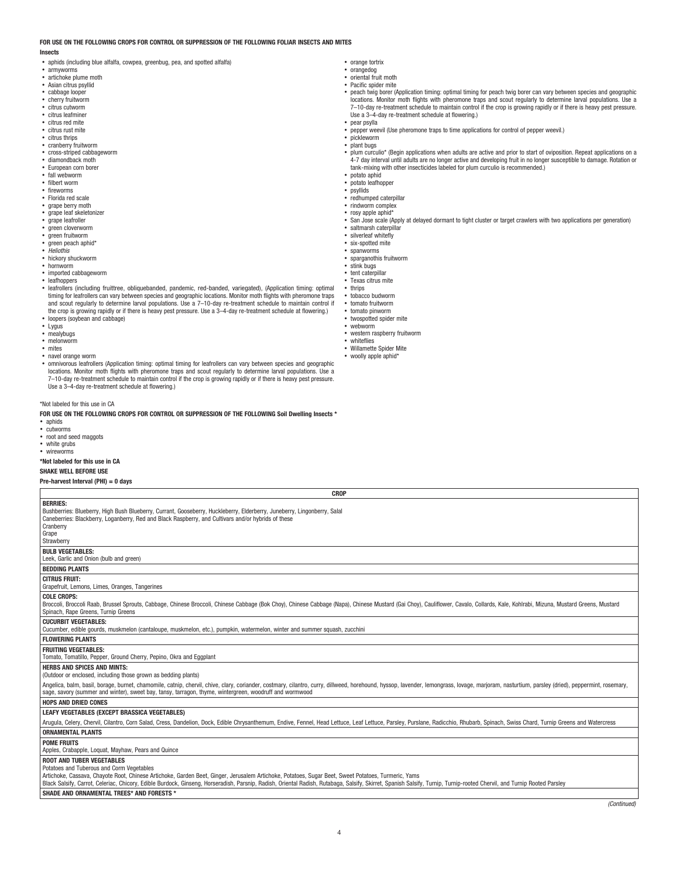## **FOR USE ON THE FOLLOWING CROPS FOR CONTROL OR SUPPRESSION OF THE FOLLOWING FOLIAR INSECTS AND MITES**

#### **Insects**

- aphids (including blue alfalfa, cowpea, greenbug, pea, and spotted alfalfa)
- armyworms artichoke plume moth
- Asian citrus psyllid
- cabbage looper
- cherry fruitworm
- citrus cutworm
- citrus leafminer
- citrus red mite • citrus rust mite
- citrus thrips
- cranberry fruitworm
- cross-striped cabbageworm
- diamondback moth
- European corn borer
- fall webworm
- filbert worm fireworms
- Florida red scale
- grape berry moth<br>• grape leaf skelete
- grape leaf skeletonizer
- grape leafroller
- green cloverworm
- green fruitworm green peach aphid\*
- *Heliothis*
- hickory shuckworm
- hornworm
- imported cabbageworm
- leafhoppers
- leafrollers (including fruittree, obliquebanded, pandemic, red-banded, variegated), (Application timing: optimal timing for leafrollers can vary between species and geographic locations. Monitor moth flights with pheromone traps and scout regularly to determine larval populations. Use a 7–10-day re-treatment schedule to maintain control if<br>the crop is growing rapidly or if there is heavy pest pressure. Use a 3–4-day re-treatment schedule at flower • loopers (soybean and cabbage)
- Lygus<br>• mealyt
- mealybugs
- melonworm
- mites
- navel orange worm
- omnivorous leafrollers (Application timing: optimal timing for leafrollers can vary between species and geographic locations. Monitor moth flights with pheromone traps and scout regularly to determine larval populations. Use a 7–10-day re-treatment schedule to maintain control if the crop is growing rapidly or if there is heavy pest pressure. Use a 3–4-day re-treatment schedule at flowering.)

\*Not labeled for this use in CA

**FOR USE ON THE FOLLOWING CROPS FOR CONTROL OR SUPPRESSION OF THE FOLLOWING Soil Dwelling Insects \*** • aphids

- cutworms
- root and seed maggots
- white grubs
- wireworms

#### **\*Not labeled for this use in CA**

**SHAKE WELL BEFORE USE Pre-harvest Interval (PHI) = 0 days**

| <b>BERRIES:</b>                                                                                                                                                                                                                                                                                                                           |
|-------------------------------------------------------------------------------------------------------------------------------------------------------------------------------------------------------------------------------------------------------------------------------------------------------------------------------------------|
| Bushberries: Blueberry, High Bush Blueberry, Currant, Gooseberry, Huckleberry, Elderberry, Juneberry, Lingonberry, Salal                                                                                                                                                                                                                  |
| Caneberries: Blackberry, Loganberry, Red and Black Raspberry, and Cultivars and/or hybrids of these                                                                                                                                                                                                                                       |
| Cranberry                                                                                                                                                                                                                                                                                                                                 |
| Grape                                                                                                                                                                                                                                                                                                                                     |
| Strawberry                                                                                                                                                                                                                                                                                                                                |
| <b>BULB VEGETABLES:</b>                                                                                                                                                                                                                                                                                                                   |
| Leek, Garlic and Onion (bulb and green)                                                                                                                                                                                                                                                                                                   |
| <b>BEDDING PLANTS</b>                                                                                                                                                                                                                                                                                                                     |
| <b>CITRUS FRUIT:</b>                                                                                                                                                                                                                                                                                                                      |
| Grapefruit, Lemons, Limes, Oranges, Tangerines                                                                                                                                                                                                                                                                                            |
| <b>COLE CROPS:</b>                                                                                                                                                                                                                                                                                                                        |
| Broccoli, Broccoli Raab, Brussel Sprouts, Cabbage, Chinese Broccoli, Chinese Cabbage (Bok Choy), Chinese Cabbage (Napa), Chinese Mustard (Gai Choy), Cauliflower, Cavalo, Collards, Kale, Kohlrabi, Mizuna, Mustard Greens, Mu                                                                                                            |
| Spinach, Rape Greens, Turnip Greens                                                                                                                                                                                                                                                                                                       |
| <b>CUCURBIT VEGETABLES:</b>                                                                                                                                                                                                                                                                                                               |
| Cucumber, edible gourds, muskmelon (cantaloupe, muskmelon, etc.), pumpkin, watermelon, winter and summer squash, zucchini                                                                                                                                                                                                                 |
| <b>FLOWERING PLANTS</b>                                                                                                                                                                                                                                                                                                                   |
| <b>FRUITING VEGETABLES:</b>                                                                                                                                                                                                                                                                                                               |
| Tomato, Tomatillo, Pepper, Ground Cherry, Pepino, Okra and Eggplant                                                                                                                                                                                                                                                                       |
| <b>HERBS AND SPICES AND MINTS:</b>                                                                                                                                                                                                                                                                                                        |
| (Outdoor or enclosed, including those grown as bedding plants)                                                                                                                                                                                                                                                                            |
|                                                                                                                                                                                                                                                                                                                                           |
| Angelica, balm, basil, borage, burnet, chamomile, catnip, chervil, chive, clary, coriander, costmary, cilantro, curry, dillweed, horehound, hyssop, lavender, lemongrass, lovage, marjoram, nasturtium, parsley (dried), peppe<br>sage, savory (summer and winter), sweet bay, tansy, tarragon, thyme, wintergreen, woodruff and wormwood |
| <b>HOPS AND DRIED CONES</b>                                                                                                                                                                                                                                                                                                               |
| LEAFY VEGETABLES (EXCEPT BRASSICA VEGETABLES)                                                                                                                                                                                                                                                                                             |
| Arugula, Celery, Chervil, Cilantro, Corn Salad, Cress, Dandelion, Dock, Edible Chrysanthemum, Endive, Fennel, Head Lettuce, Leaf Lettuce, Parsley, Purslane, Radicchio, Rhubarb, Spinach, Swiss Chard, Turnip Greens and Water                                                                                                            |
| <b>ORNAMENTAL PLANTS</b>                                                                                                                                                                                                                                                                                                                  |
| <b>POME FRUITS</b>                                                                                                                                                                                                                                                                                                                        |
| Apples, Crabapple, Loquat, Mayhaw, Pears and Quince                                                                                                                                                                                                                                                                                       |
| <b>ROOT AND TUBER VEGETABLES</b>                                                                                                                                                                                                                                                                                                          |
| Potatoes and Tuberous and Corm Vegetables                                                                                                                                                                                                                                                                                                 |
| Artichoke, Cassava, Chayote Root, Chinese Artichoke, Garden Beet, Ginger, Jerusalem Artichoke, Potatoes, Sugar Beet, Sweet Potatoes, Turmeric, Yams                                                                                                                                                                                       |
| Black Salsify, Carrot, Celeriac, Chicory, Edible Burdock, Ginseng, Horseradish, Parsnip, Radish, Oriental Radish, Rutabaga, Salsify, Skirret, Spanish Salsify, Turnip, Turnip-rooted Chervil, and Turnip Rooted Parsley                                                                                                                   |
| SHADE AND ORNAMENTAL TREES* AND FORESTS *                                                                                                                                                                                                                                                                                                 |
|                                                                                                                                                                                                                                                                                                                                           |
| (Continued)                                                                                                                                                                                                                                                                                                                               |

**CROP**

- orange tortrix
- orangedog oriental fruit moth
- Pacific spider mite
- peach twig borer (Application timing: optimal timing for peach twig borer can vary between species and geographic<br>Iocations. Monitor moth flights with pheromone traps and scout regularly to determine larval populations. Us 7–10-day re-treatment schedule to maintain control if the crop is growing rapidly or if there is heavy pest pressure. Use a 3–4-day re-treatment schedule at flowering.) • pear psylla
- pepper weevil (Use pheromone traps to time applications for control of pepper weevil.)
- pickleworm • **plant** bugs
- plum curculio\* (Begin applications when adults are active and prior to start of oviposition. Repeat applications on a 4-7 day interval until adults are no longer active and developing fruit in no longer susceptible to damage. Rotation or tank-mixing with other insecticides labeled for plum curculio is recommended.)
- potato aphid
- potato leafhopper
- psyllids
- redhumped caterpillar
- rindworm complex • rosy apple aphid\*
- San Jose scale (Apply at delayed dormant to tight cluster or target crawlers with two applications per generation)
- saltmarsh caterpillar
- silverleaf whitefly
- six-spotted mite • spanworms
- sparmorms<br>sparganothis fruitworm
- stink bugs
- tent caterpillar
- Texas citrus mite
- thrips • tobacco budworm
- tomato fruitworm
- tomato pinworm
- twospotted spider mite • webworm
- western raspberry fruitworm
- whiteflies
- Willamette Spider Mite
- woolly apple aphid\*